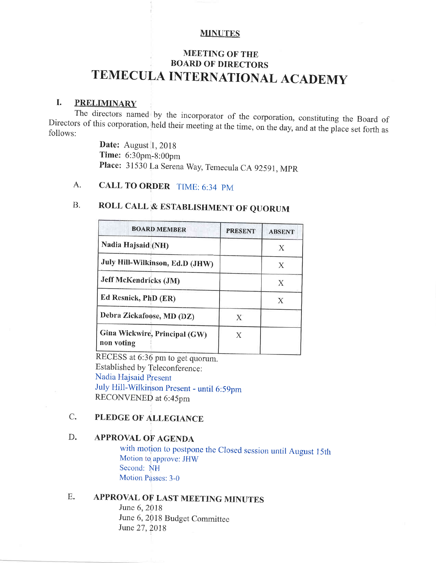### **MINUTES**

# MEETING OF THE BOARD OF DIRECTORS TEMECULA INTERNATIONAL ACADEMY

I. PRELIMINARY<br>The directors named by the incorporator of the corporation, constituting the Board of Directors of this corporation, held their meeting at the time, on the day, and at the place set forth as follows:

> **Date:** August 1, 2018 Time: 6:30pm-8:00pm Place: 31530 La Serena Way, Temecula CA 92591, MPR

# A. CALL TO ORDER TIME: 6:34 PM

# B. ROLL CALL & ESTABLISHMENT OF QUORUM

| <b>BOARD MEMBER</b>                         | <b>PRESENT</b> | <b>ABSENT</b> |
|---------------------------------------------|----------------|---------------|
| Nadia Hajsaid (NH)                          |                | Х             |
| July Hill-Wilkinson, Ed.D (JHW)             |                | X             |
| <b>Jeff McKendricks (JM)</b>                |                | Х             |
| Ed Resnick, PhD (ER)                        |                | Х             |
| Debra Zickafoose, MD (DZ)                   |                |               |
| Gina Wickwire, Principal (GW)<br>non voting |                |               |

RECESS at 6:36 pm to get quorum. Established by Teleconference : Nadia Hajsaid Present July Hill-Wilkinson presenr - until 6:59pm RECONVENED at 6:45pm

### C. PLEDGE OF ALLEGIANCE

### D. APPROVAL OF AGENDA

with motion to postpone the Closed session until August 15th Motion to approve: JHW Second: NH Motion Passes: 3-0

## E. APPROVAL OF LAST MEETING MINUTES

June 6. 2018 June 6, 2018 Budget Committee June 27, 2018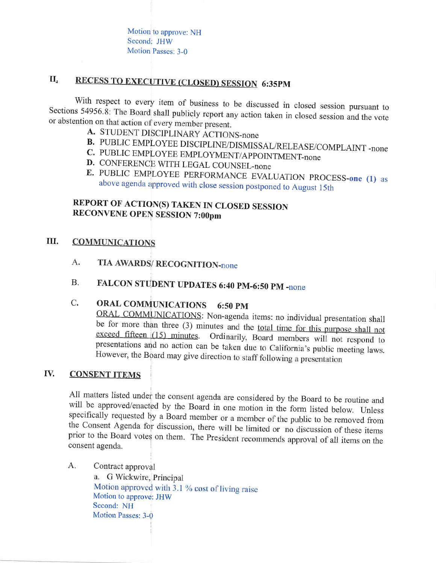Motion to approve: NH Secondi JHW Motion Passes: 3-0

### II. RECESS TO EXECUTIVE (CLOSED) SESSION 6:35PM

With respect to every item of business to be discussed in closed session pursuant to Sections 54956.8: The Board shall publicly report any action taken in closed session and the vote or abstention on that action of every m

- 
- **B.** PUBLIC EMPLOYEE DISCIPLINE/DISMISSAL/RELEASE/COMPLAINT -none <br>**C.** PUBLIC EMPLOYEE EMPLOYMENT/APPOINTMENT-none <br>**D.** CONFERENCE WITH LEGAL COUNSEL-none
- 
- 
- E. PUBLIC EMPLOYEE PERFORMANCE EVALUATION PROCESS-one (1) as above agenda approved with close session postponed to August 15th

## REPORT OF ACTION(S) TAKEN IN CLOSED SESSION RECONVENE OPEN SESSION 7:00pm

### **COMMUNICATIONS** III.

- A. TIA AWARDS/ RECOGNITION-none
- B. FALCON STUDENT UPDATES 6:40 PM-6:50 PM -none

C. ORAL COMMUNICATIONS 6:50 PM<br>ORAL COMMUNICATIONS: Non-agenda items: no individual presentation shall be for more than three (3) minutes and the <u>total time for this purpose shall not</u> exceed fifteen (15) minutes. Ordinarily, Board members will not respond to exceed fifteen  $(15)$  minutes. presentations and no action can be taken due to California's public meeting laws. However, the Board may give direction to staff following a presentation

#### IV. **CONSENT ITEMS**

All matters listed under the consent agenda are considered by the Board to be routine and will be approved/enacted by the Board in one motion in the form listed below. Unless specifically requested by a Board member or a m

A. Contract approval a. G Wickwire, Principal Motion approved with  $3.1$  % cost of living raise<br>Motion to approve: JHW Second: NH Motion Passes: 3-0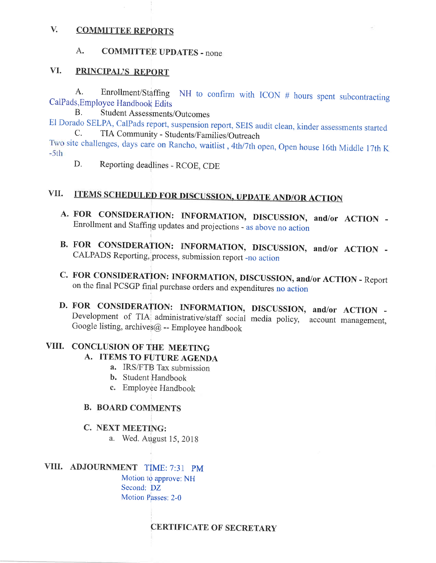#### V. **COMMITTEE REPORTS**

#### $A_{\bullet}$ **COMMITTEE UPDATES - none**

#### VI. **PRINCIPAL'S REPORT**

Enrollment/Staffing NH to confirm with ICON # hours spent subcontracting А. CalPads, Employee Handbook Edits

**Student Assessments/Outcomes**  $B<sub>1</sub>$ 

El Dorado SELPA, CalPads report, suspension report, SEIS audit clean, kinder assessments started TIA Community - Students/Families/Outreach C. Two site challenges, days care on Rancho, waitlist, 4th/7th open, Open house 16th Middle 17th K

 $-5th$ 

D. Reporting deadlines - RCOE, CDE

### **ITEMS SCHEDULED FOR DISCUSSION, UPDATE AND/OR ACTION** VII.

- A. FOR CONSIDERATION: INFORMATION, DISCUSSION, and/or ACTION -Enrollment and Staffing updates and projections - as above no action
- B. FOR CONSIDERATION: INFORMATION, DISCUSSION, and/or ACTION -CALPADS Reporting, process, submission report -no action
- C. FOR CONSIDERATION: INFORMATION, DISCUSSION, and/or ACTION Report on the final PCSGP final purchase orders and expenditures no action
- D. FOR CONSIDERATION: INFORMATION, DISCUSSION, and/or ACTION -Development of TIA administrative/staff social media policy, account management, Google listing, archives@ -- Employee handbook

# VIII. CONCLUSION OF THE MEETING

## A. ITEMS TO FUTURE AGENDA

- a. IRS/FTB Tax submission
- **b.** Student Handbook
- c. Employee Handbook

### **B. BOARD COMMENTS**

### C. NEXT MEETING:

a. Wed. August 15, 2018

### VIII. ADJOURNMENT TİME: 7:31 PM

Motion to approve: NH Second: DZ Motion Passes: 2-0

**CERTIFICATE OF SECRETARY**